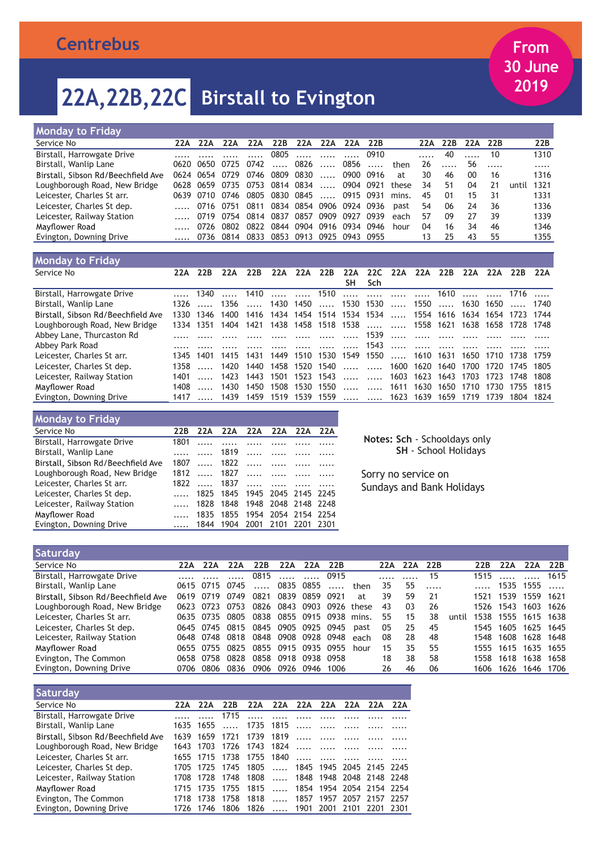| Monday to Friday                   |     |           |                     |      |                          |                                   |          |           |                               |       |     |     |     |      |       |      |
|------------------------------------|-----|-----------|---------------------|------|--------------------------|-----------------------------------|----------|-----------|-------------------------------|-------|-----|-----|-----|------|-------|------|
| Service No                         | 22A | 22A       | 22A                 | 22A  | 22B                      | 22A                               | 22A      | 22A       | 22B                           |       | 22A | 22B | 22A | 22B  |       | 22B  |
| Birstall, Harrowgate Drive         |     |           |                     |      |                          | 0805    0910                      |          |           |                               |       |     | 40  |     | - 10 |       | 1310 |
| Birstall, Wanlip Lane              |     | 0620 0650 | 0725 0742           |      |                          | $\dots$ 0826 $\dots$ 0856 $\dots$ |          |           |                               | then  | 26  |     | 56  |      |       | .    |
| Birstall, Sibson Rd/Beechfield Ave |     | 0624 0654 | 0729                | 0746 | 0809                     | 0830                              | $\ldots$ | 0900 0916 |                               | at    | 30  | 46  | 00  | 16   |       | 1316 |
| Loughborough Road, New Bridge      |     |           | 0628 0659 0735 0753 |      | 0814 0834                |                                   | $\ldots$ | 0904 0921 |                               | these | 34  | 51  | 04  | 21   | until | 1321 |
| Leicester, Charles St arr.         |     |           | 0639 0710 0746      | 0805 | 0830 0845                |                                   |          |           | 0915 0931                     | mins. | 45  | 01  | 15  | 31   |       | 1331 |
| Leicester, Charles St dep.         |     |           | 0716 0751 0811      |      |                          |                                   |          |           | 0834 0854 0906 0924 0936 past |       | 54  | 06  | 74  | 36   |       | 1336 |
| Leicester, Railway Station         |     |           | 0719 0754 0814      |      | 0837 0857 0909 0927      |                                   |          |           | 0939                          | each  | 57  | 09  | 27  | 39   |       | 1339 |
| Mavflower Road                     |     | 0726      | 0802                | 0822 |                          | 0844 0904 0916 0934 0946          |          |           |                               | hour  | 04  | 16  | 34  | 46   |       | 1346 |
| Evington, Downing Drive            |     |           | 0736 0814 0833      |      | 0853 0913 0925 0943 0955 |                                   |          |           |                               |       | 13  | 25  | 43  | 55   |       | 1355 |
|                                    |     |           |                     |      |                          |                                   |          |           |                               |       |     |     |     |      |       |      |

| <b>Monday to Friday</b>            |      |           |                                                   |                                                     |                     |                |     |                                     |                                       |                                |     |                                                              |     |                     |     |
|------------------------------------|------|-----------|---------------------------------------------------|-----------------------------------------------------|---------------------|----------------|-----|-------------------------------------|---------------------------------------|--------------------------------|-----|--------------------------------------------------------------|-----|---------------------|-----|
| Service No                         | 22A  | 22B       | 22A                                               | 22B                                                 | 22A                 | 22A            | 22B | 22A                                 | 22C 22A                               | 22A                            | 22B | 22A                                                          | 22A | 22B                 | 22A |
|                                    |      |           |                                                   |                                                     |                     |                |     |                                     | SH Sch                                |                                |     |                                                              |     |                     |     |
| Birstall, Harrowgate Drive         |      |           | 1340  1410   1510     1610   1716                 |                                                     |                     |                |     |                                     |                                       |                                |     |                                                              |     |                     |     |
| Birstall, Wanlip Lane              |      |           | 1326  1356  1430 1450  1530 1530  1550  1630 1650 |                                                     |                     |                |     |                                     |                                       |                                |     |                                                              |     | …… 1740             |     |
| Birstall, Sibson Rd/Beechfield Ave |      | 1330 1346 | 1400                                              |                                                     |                     |                |     |                                     |                                       |                                |     | 1416 1434 1454 1514 1534 1534  1554 1616 1634 1654 1723 1744 |     |                     |     |
| Loughborough Road, New Bridge      |      |           | 1334 1351 1404 1421                               |                                                     |                     |                |     |                                     |                                       |                                |     | 1438 1458 1518 1538   1558 1621 1638 1658 1728 1748          |     |                     |     |
| Abbey Lane, Thurcaston Rd          |      |           |                                                   |                                                     |                     |                |     |                                     |                                       |                                |     |                                                              |     |                     |     |
| Abbey Park Road                    |      |           |                                                   |                                                     |                     |                |     |                                     |                                       |                                |     |                                                              |     |                     |     |
| Leicester, Charles St arr.         | 1345 | 1401      | 1415                                              | 1431                                                |                     |                |     | 1449 1510 1530 1549 1550  1610 1631 |                                       |                                |     |                                                              |     | 1650 1710 1738 1759 |     |
| Leicester, Charles St dep.         | 1358 |           | 1420                                              |                                                     |                     |                |     |                                     |                                       |                                |     | 1440 1458 1520 1540   1600 1620 1640 1700 1720 1745 1805     |     |                     |     |
| Leicester, Railway Station         | 1401 |           |                                                   | 1423 1443 1501 1523 1543   1603 1623 1643 1703 1723 |                     |                |     |                                     |                                       |                                |     |                                                              |     | 1748 1808           |     |
| Mayflower Road                     | 1408 |           | 1430                                              |                                                     | 1450 1508 1530 1550 |                |     |                                     | $\overline{11111}$ $\overline{11111}$ |                                |     | 1611 1630 1650 1710 1730                                     |     | 1755 1815           |     |
| Evington, Downing Drive            |      | 1417      | 1439                                              | 1459                                                |                     | 1519 1539 1559 |     |                                     |                                       | $\dots$ $\dots$ 1623 1639 1659 |     | 1719 1739                                                    |     | 1804 1824           |     |

| <b>Monday to Friday</b>            |         |         |                               |                     |         |          |
|------------------------------------|---------|---------|-------------------------------|---------------------|---------|----------|
| Service No                         | 22B     | 22A     | 22A 22A                       |                     | 22A 22A | 22A      |
| Birstall, Harrowgate Drive         | 1801    |         |                               |                     |         |          |
| Birstall, Wanlip Lane              |         |         | 1819                          | $\cdots$            |         |          |
| Birstall, Sibson Rd/Beechfield Ave |         |         | 1807  1822                    |                     |         |          |
| Loughborough Road, New Bridge      | 1812    |         | …… 1827                       | $\cdots$            |         | $\cdots$ |
| Leicester, Charles St arr.         | 1822    | …… 1837 |                               |                     |         |          |
| Leicester, Charles St dep.         | 1.1.1.1 |         | 1825 1845 1945 2045 2145 2245 |                     |         |          |
| Leicester, Railway Station         | 1.1.1.1 | 1828    | 1848                          | 1948 2048 2148 2248 |         |          |
| Mayflower Road                     | 1.1.1.1 |         | 1835 1855 1954 2054 2154 2254 |                     |         |          |
| Evington, Downing Drive            |         | 1844    | 1904 2001 2101 2201 2301      |                     |         |          |

**Notes: Sch** - Schooldays only **SH** - School Holidays

Sorry no service on Sundays and Bank Holidays

| Saturday                           |      |           |                                    |                     |                     |      |      |            |     |     |     |       |      |                |           |      |
|------------------------------------|------|-----------|------------------------------------|---------------------|---------------------|------|------|------------|-----|-----|-----|-------|------|----------------|-----------|------|
| Service No                         | 22A  | 22A       | 22A                                | 22B                 | 22A                 | 22A  | 22B  |            | 22A | 22A | 22B |       | 22B  | 22A            | 22A       | 22B  |
| Birstall, Harrowgate Drive         |      |           |                                    | 0815                |                     | 0915 |      |            |     |     | 15  |       | 1515 |                |           | 1615 |
| Birstall, Wanlip Lane              |      | 0615 0715 | 0745                               |                     | 0835 0855           |      |      | then       | 35  | 55  | .   |       |      | 1535 1555      |           |      |
| Birstall, Sibson Rd/Beechfield Ave | 0619 | 0719      | 0749                               | 0821                | 0839 0859           |      | 0921 | at         | 39  | 59  | 21  |       | 1521 | 1539 1559 1621 |           |      |
| Loughborough Road, New Bridge      |      | 0623 0723 | 0753                               |                     | 0826 0843 0903      |      |      | 0926 these | 43  | 03  | 26  |       |      | 1526 1543      | 1603 1626 |      |
| Leicester, Charles St arr.         |      | 0635 0735 | 0805                               |                     | 0838 0855 0915 0938 |      |      | mins.      | 55  | 15  | 38  | until |      | 1538 1555      | 1615 1638 |      |
| Leicester, Charles St dep.         |      |           | 0645 0745 0815 0845 0905 0925 0945 |                     |                     |      |      | past       | 05  | 25  | 45  |       | 1545 | 1605 1625 1645 |           |      |
| Leicester, Railway Station         |      | 0648 0748 | 0818                               | 0848 0908 0928 0948 |                     |      |      | each       | 08  | 28  | 48  |       | 1548 | 1608           | 1628 1648 |      |
| Mayflower Road                     |      | 0655 0755 | 0825                               |                     | 0855 0915 0935 0955 |      |      | hour       | 15  | 35  | 55  |       | 1555 | 1615           | 1635      | 1655 |
| Evington, The Common               | 0658 | 0758      | 0828                               |                     | 0858 0918 0938 0958 |      |      |            | 18  | 38  | 58  |       | 1558 | 1618           | 1638      | 1658 |
| Evington, Downing Drive            |      | 0706 0806 | 0836                               | 0906 0926 0946 1006 |                     |      |      |            | 26  | 46  | 06  |       | 1606 | 1626           | 1646      | 1706 |

| <b>Saturday</b>                    |                |                                               |                                |                             |  |          |                          |       |
|------------------------------------|----------------|-----------------------------------------------|--------------------------------|-----------------------------|--|----------|--------------------------|-------|
| Service No                         | 22A 22A        | 22B                                           |                                | 22A 22A 22A 22A 22A 22A 22A |  |          |                          |       |
| Birstall, Harrowgate Drive         |                | 1715                                          |                                | $\frac{1}{2}$               |  |          |                          |       |
| Birstall, Wanlip Lane              | 1635 1655      | $\cdots$                                      | 1735 1815                      |                             |  | $\cdots$ |                          |       |
| Birstall, Sibson Rd/Beechfield Ave | 1639 1659      | 1721                                          |                                | 1739 1819                   |  |          |                          |       |
| Loughborough Road, New Bridge      |                | 1643 1703 1726 1743 1824                      |                                |                             |  |          |                          |       |
| Leicester, Charles St arr.         | 1655 1715 1738 |                                               | 1755 1840                      |                             |  |          |                          |       |
| Leicester, Charles St dep.         |                | 1705 1725 1745 1805  1845 1945 2045 2145 2245 |                                |                             |  |          |                          |       |
| Leicester, Railway Station         |                | 1708 1728 1748 1808  1848 1948 2048 2148 2248 |                                |                             |  |          |                          |       |
| Mayflower Road                     |                | 1715 1735 1755                                | 1815  1854 1954 2054 2154 2254 |                             |  |          |                          |       |
| Evington, The Common               | 1718 1738      | 1758                                          | 1818                           |                             |  |          | 1857 1957 2057 2157 2257 |       |
| Evington, Downing Drive            |                | 1726 1746 1806 1826  1901 2001 2101 2201      |                                |                             |  |          |                          | -2301 |